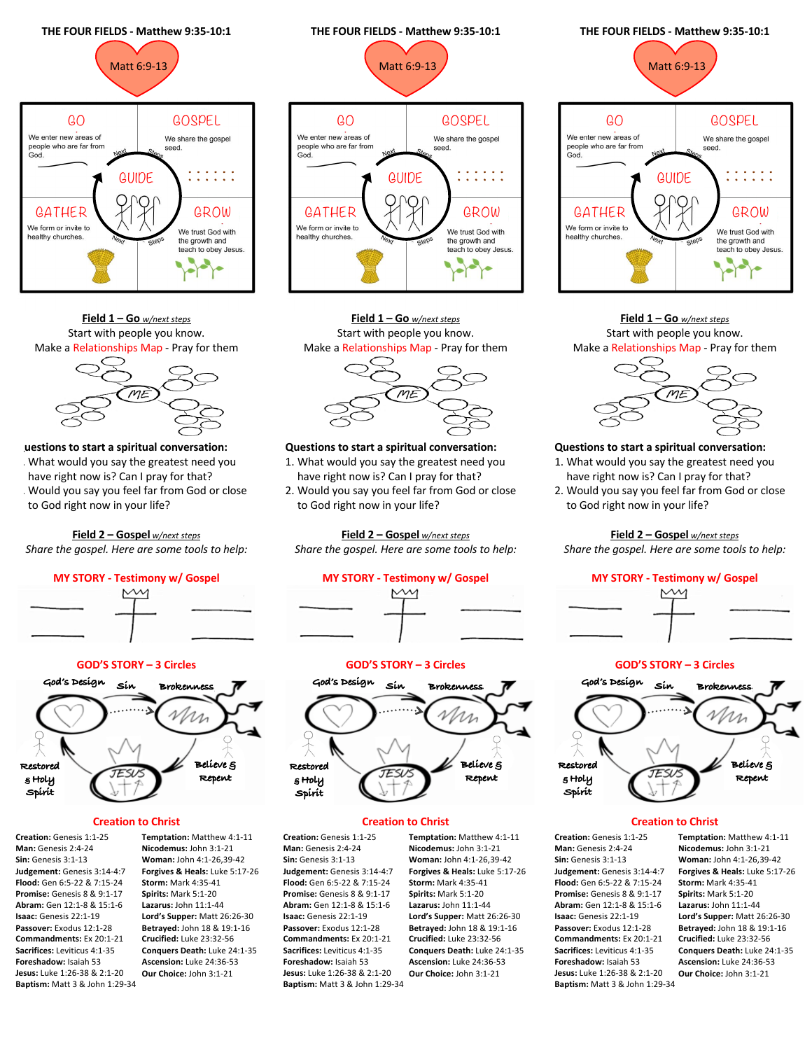

**Field 1 – Go** *w/next steps* Start with people you know. Make a Relationships Map - Pray for them



**Questions to start a spiritual conversation:** 1. What would you say the greatest need you have right now is? Can I pray for that? 2. Would you say you feel far from God or close to God right now in your life?

**Field 2 – Gospel** *w/next steps Share the gospel. Here are some tools to help:*

## **MY STORY - Testimony w/ Gospel**



#### **GOD'S STORY – 3 Circles**



#### **Creation to Christ**

**Creation:** Genesis 1:1-25 **Man:** Genesis 2:4-24 **Sin:** Genesis 3:1-13 **Judgement:** Genesis 3:14-4:7 **Flood:** Gen 6:5-22 & 7:15-24 **Promise:** Genesis 8 & 9:1-17 **Abram:** Gen 12:1-8 & 15:1-6 **Isaac:** Genesis 22:1-19 **Passover:** Exodus 12:1-28 **Commandments:** Ex 20:1-21 **Sacrifices:** Leviticus 4:1-35 **Foreshadow:** Isaiah 53 **Jesus:** Luke 1:26-38 & 2:1-20 **Baptism:** Matt 3 & John 1:29-34

#### **Temptation:** Matthew 4:1-11 **Nicodemus:** John 3:1-21 **Woman:** John 4:1-26,39-42 **Forgives & Heals:** Luke 5:17-26 **Storm:** Mark 4:35-41 **Spirits:** Mark 5:1-20 **Lazarus:** John 11:1-44 **Lord's Supper:** Matt 26:26-30 **Betrayed:** John 18 & 19:1-16 **Crucified:** Luke 23:32-56 **Conquers Death:** Luke 24:1-35 **Ascension:** Luke 24:36-53 **Our Choice:** John 3:1-21



**Field 1 – Go** *w/next steps* Start with people you know. Make a Relationships Map - Pray for them



### **Questions to start a spiritual conversation:**

1. What would you say the greatest need you have right now is? Can I pray for that?

2. Would you say you feel far from God or close to God right now in your life?

**Field 2 – Gospel** *w/next steps Share the gospel. Here are some tools to help:*

### **MY STORY - Testimony w/ Gospel**



#### **GOD'S STORY – 3 Circles**



#### **Creation to Christ**

**Creation:** Genesis 1:1-25 **Man:** Genesis 2:4-24 **Sin:** Genesis 3:1-13 **Judgement:** Genesis 3:14-4:7 **Flood:** Gen 6:5-22 & 7:15-24 **Promise:** Genesis 8 & 9:1-17 **Abram:** Gen 12:1-8 & 15:1-6 **Isaac:** Genesis 22:1-19 **Passover:** Exodus 12:1-28 **Commandments:** Ex 20:1-21 **Sacrifices:** Leviticus 4:1-35 **Foreshadow:** Isaiah 53 **Jesus:** Luke 1:26-38 & 2:1-20 **Baptism:** Matt 3 & John 1:29-34 **Temptation:** Matthew 4:1-11 **Nicodemus:** John 3:1-21 **Woman:** John 4:1-26,39-42 **Forgives & Heals:** Luke 5:17-26 **Storm:** Mark 4:35-41 **Spirits:** Mark 5:1-20 **Lazarus:** John 11:1-44 **Lord's Supper:** Matt 26:26-30 **Betrayed:** John 18 & 19:1-16 **Crucified:** Luke 23:32-56 **Conquers Death:** Luke 24:1-35 **Ascension:** Luke 24:36-53 **Our Choice:** John 3:1-21



#### **Field 1 – Go** *w/next steps* Start with people you know. Make a Relationships Map - Pray for them



#### **Questions to start a spiritual conversation:**

- 1. What would you say the greatest need you have right now is? Can I pray for that?
- 2. Would you say you feel far from God or close to God right now in your life?

#### **Field 2 – Gospel** *w/next steps*

*Share the gospel. Here are some tools to help:*

# **MY STORY - Testimony w/ Gospel**



#### **GOD'S STORY – 3 Circles**



#### **Creation to Christ**

**Creation:** Genesis 1:1-25 **Man:** Genesis 2:4-24 **Sin:** Genesis 3:1-13 **Judgement:** Genesis 3:14-4:7 **Flood:** Gen 6:5-22 & 7:15-24 **Promise:** Genesis 8 & 9:1-17 **Abram:** Gen 12:1-8 & 15:1-6 **Isaac:** Genesis 22:1-19 **Passover:** Exodus 12:1-28 **Commandments:** Ex 20:1-21 **Sacrifices:** Leviticus 4:1-35 **Foreshadow:** Isaiah 53 **Jesus:** Luke 1:26-38 & 2:1-20 **Baptism:** Matt 3 & John 1:29-34

**Temptation:** Matthew 4:1-11 **Nicodemus:** John 3:1-21 **Woman:** John 4:1-26,39-42 **Forgives & Heals:** Luke 5:17-26 **Storm:** Mark 4:35-41 **Spirits:** Mark 5:1-20 **Lazarus:** John 11:1-44 **Lord's Supper:** Matt 26:26-30 **Betrayed:** John 18 & 19:1-16 **Crucified:** Luke 23:32-56 **Conquers Death:** Luke 24:1-35 **Ascension:** Luke 24:36-53 **Our Choice:** John 3:1-21